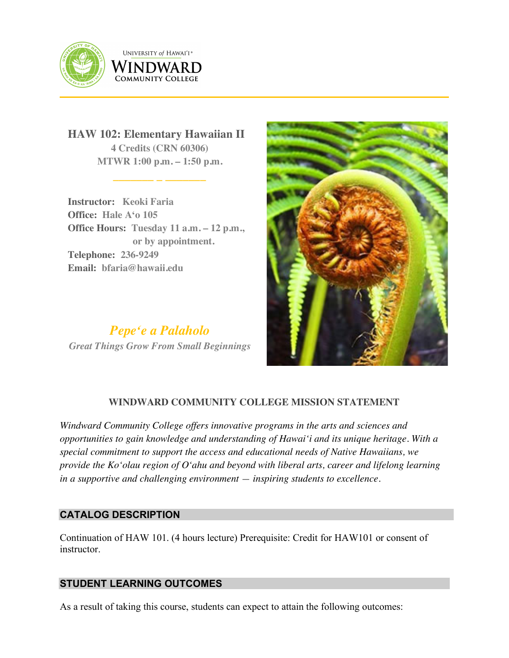

**UNIVERSITY of HAWAI'I**® WINDWARD **COMMUNITY COLLEGE** 

**HAW 102: Elementary Hawaiian II 4 Credits (CRN 60306) MTWR 1:00 p.m. – 1:50 p.m.**

**\_\_\_\_\_\_\_ \_ \_\_\_\_\_\_\_**

**Instructor: Keoki Faria Office: Hale Aʻo 105 Office Hours: Tuesday 11 a.m. – 12 p.m., or by appointment. Telephone: 236-9249 Email: bfaria@hawaii.edu**

*Pepeʻe a Palaholo Great Things Grow From Small Beginnings*



# **WINDWARD COMMUNITY COLLEGE MISSION STATEMENT**

*Windward Community College offers innovative programs in the arts and sciences and opportunities to gain knowledge and understanding of Hawai'i and its unique heritage. With a special commitment to support the access and educational needs of Native Hawaiians, we provide the Ko'olau region of Oʻahu and beyond with liberal arts, career and lifelong learning in a supportive and challenging environment — inspiring students to excellence.*

### **CATALOG DESCRIPTION**

Continuation of HAW 101. (4 hours lecture) Prerequisite: Credit for HAW101 or consent of instructor.

### **STUDENT LEARNING OUTCOMES**

As a result of taking this course, students can expect to attain the following outcomes: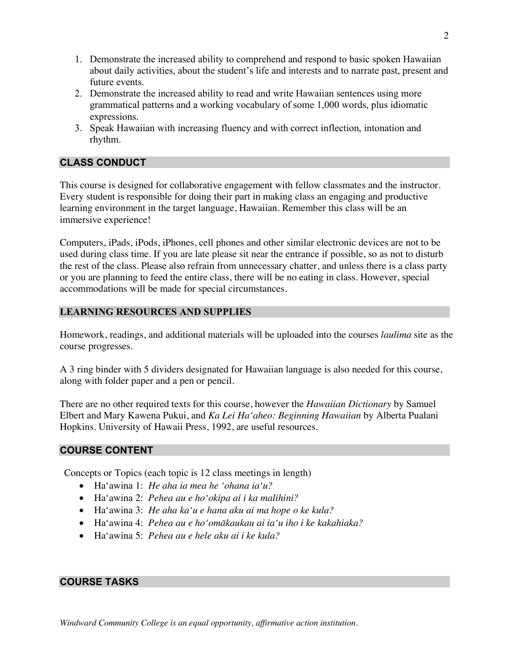- 1. Demonstrate the increased ability to comprehend and respond to basic spoken Hawaiian about daily activities, about the student's life and interests and to narrate past, present and future events.
- 2. Demonstrate the increased ability to read and write Hawaiian sentences using more grammatical patterns and a working vocabulary of some 1,000 words, plus idiomatic expressions.
- 3. Speak Hawaiian with increasing fluency and with correct inflection, intonation and rhythm.

## **CLASS CONDUCT**

This course is designed for collaborative engagement with fellow classmates and the instructor. Every student is responsible for doing their part in making class an engaging and productive learning environment in the target language, Hawaiian. Remember this class will be an immersive experience!

Computers, iPads, iPods, iPhones, cell phones and other similar electronic devices are not to be used during class time. If you are late please sit near the entrance if possible, so as not to disturb the rest of the class. Please also refrain from unnecessary chatter, and unless there is a class party or you are planning to feed the entire class, there will be no eating in class. However, special accommodations will be made for special circumstances.

### **LEARNING RESOURCES AND SUPPLIES**

Homework, readings, and additional materials will be uploaded into the courses *laulima* site as the course progresses.

A 3 ring binder with 5 dividers designated for Hawaiian language is also needed for this course, along with folder paper and a pen or pencil.

There are no other required texts for this course, however the *Hawaiian Dictionary* by Samuel Elbert and Mary Kawena Pukui, and *Ka Lei Haʻaheo: Beginning Hawaiian* by Alberta Pualani Hopkins. University of Hawaii Press, 1992, are useful resources.

#### **COURSE CONTENT**

Concepts or Topics (each topic is 12 class meetings in length)

- Haʻawina 1: *He aha ia mea he ʻohana iaʻu?*
- Haʻawina 2: *Pehea au e hoʻokipa ai i ka malihini?*
- Haʻawina 3: *He aha kaʻu e hana aku ai ma hope o ke kula?*
- Haʻawina 4: *Pehea au e hoʻomākaukau ai iaʻu iho i ke kakahiaka?*
- Haʻawina 5: *Pehea au e hele aku ai i ke kula?*

### **COURSE TASKS**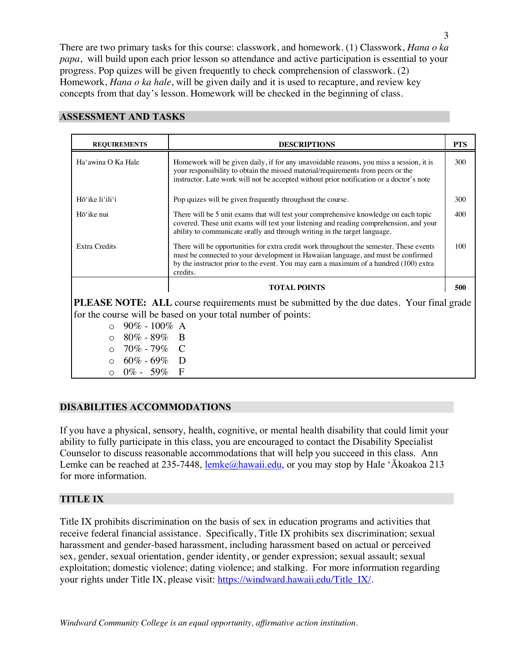There are two primary tasks for this course: classwork, and homework. (1) Classwork, *Hana o ka papa*, will build upon each prior lesson so attendance and active participation is essential to your progress. Pop quizes will be given frequently to check comprehension of classwork. (2) Homework, *Hana o ka hale*, will be given daily and it is used to recapture, and review key concepts from that day's lesson. Homework will be checked in the beginning of class.

| <b>REQUIREMENTS</b>                                                                              | <b>DESCRIPTIONS</b>                                                                                                                                                                                                                                                               | <b>PTS</b> |
|--------------------------------------------------------------------------------------------------|-----------------------------------------------------------------------------------------------------------------------------------------------------------------------------------------------------------------------------------------------------------------------------------|------------|
| Ha'awina O Ka Hale                                                                               | Homework will be given daily, if for any unavoidable reasons, you miss a session, it is<br>your responsibility to obtain the missed material/requirements from peers or the<br>instructor. Late work will not be accepted without prior notification or a doctor's note           | 300        |
| Hō'ike li'ili'i                                                                                  | Pop quizes will be given frequently throughout the course.                                                                                                                                                                                                                        | 300        |
| Hō'ike nui                                                                                       | There will be 5 unit exams that will test your comprehensive knowledge on each topic<br>covered. These unit exams will test your listening and reading comprehension, and your<br>ability to communicate orally and through writing in the target language.                       | 400        |
| <b>Extra Credits</b>                                                                             | There will be opportunities for extra credit work throughout the semester. These events<br>must be connected to your development in Hawaiian language, and must be confirmed<br>by the instructor prior to the event. You may earn a maximum of a hundred (100) extra<br>credits. | 100        |
|                                                                                                  | <b>TOTAL POINTS</b>                                                                                                                                                                                                                                                               | 500        |
| <b>PLEASE NOTE:</b> ALL course requirements must be submitted by the due dates. Your final grade |                                                                                                                                                                                                                                                                                   |            |
| for the course will be based on your total number of points:                                     |                                                                                                                                                                                                                                                                                   |            |
| $90\% - 100\%$ A<br>$\cap$                                                                       |                                                                                                                                                                                                                                                                                   |            |
| $80\% - 89\%$ B<br>$\bigcirc$                                                                    |                                                                                                                                                                                                                                                                                   |            |
| 70% - 79% C<br>$\Omega$                                                                          |                                                                                                                                                                                                                                                                                   |            |
| $60\%$ - $69\%$ D<br>$\circ$                                                                     |                                                                                                                                                                                                                                                                                   |            |
| $0\% - 59\%$ F                                                                                   |                                                                                                                                                                                                                                                                                   |            |

#### **ASSESSMENT AND TASKS**

#### **DISABILITIES ACCOMMODATIONS**

If you have a physical, sensory, health, cognitive, or mental health disability that could limit your ability to fully participate in this class, you are encouraged to contact the Disability Specialist Counselor to discuss reasonable accommodations that will help you succeed in this class. Ann Lemke can be reached at 235-7448, lemke@hawaii.edu, or you may stop by Hale 'Ākoakoa 213 for more information.

#### **TITLE IX**

Title IX prohibits discrimination on the basis of sex in education programs and activities that receive federal financial assistance. Specifically, Title IX prohibits sex discrimination; sexual harassment and gender-based harassment, including harassment based on actual or perceived sex, gender, sexual orientation, gender identity, or gender expression; sexual assault; sexual exploitation; domestic violence; dating violence; and stalking. For more information regarding your rights under Title IX, please visit: https://windward.hawaii.edu/Title\_IX/.